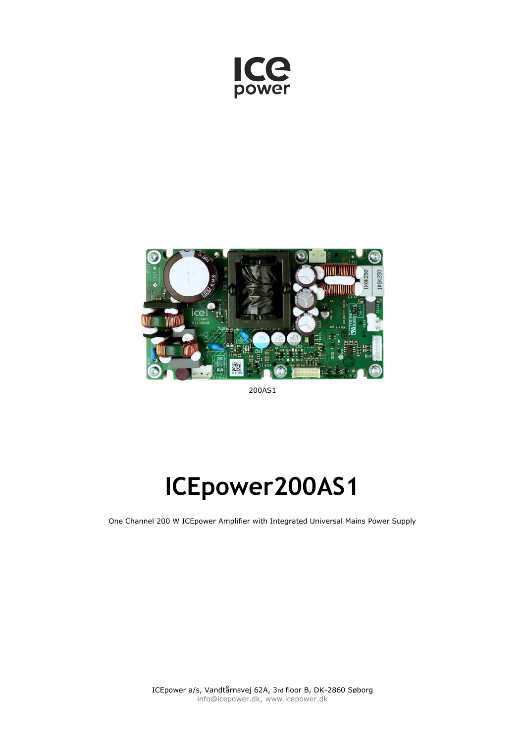



200AS1

# **ICEpower200AS1**

One Channel 200 W ICEpower Amplifier with Integrated Universal Mains Power Supply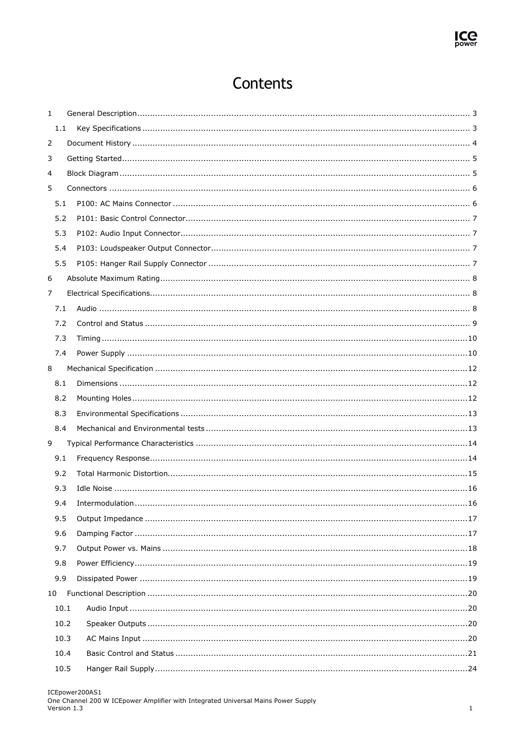### Contents

| 1  |      |      |  |
|----|------|------|--|
|    | 1.1  |      |  |
| 2  |      |      |  |
| 3  |      |      |  |
| 4  |      |      |  |
| 5  |      |      |  |
|    | 5.1  |      |  |
|    | 5.2  |      |  |
|    | 5.3  |      |  |
|    | 5.4  |      |  |
|    | 5.5  |      |  |
| 6  |      |      |  |
| 7  |      |      |  |
|    | 7.1  |      |  |
|    | 7.2  |      |  |
|    | 7.3  |      |  |
|    | 7.4  |      |  |
| 8  |      |      |  |
|    | 8.1  |      |  |
|    | 8.2  |      |  |
|    | 8.3  |      |  |
|    | 8.4  |      |  |
| 9  |      |      |  |
|    | 9.1  |      |  |
|    | 9.2  |      |  |
|    | 9.3  |      |  |
|    | 9.4  | . 16 |  |
|    | 9.5  |      |  |
|    | 9.6  |      |  |
|    | 9.7  |      |  |
|    | 9.8  |      |  |
|    | 9.9  |      |  |
| 10 |      |      |  |
|    | 10.1 |      |  |
|    | 10.2 |      |  |
|    | 10.3 |      |  |
|    | 10.4 |      |  |
|    | 10.5 |      |  |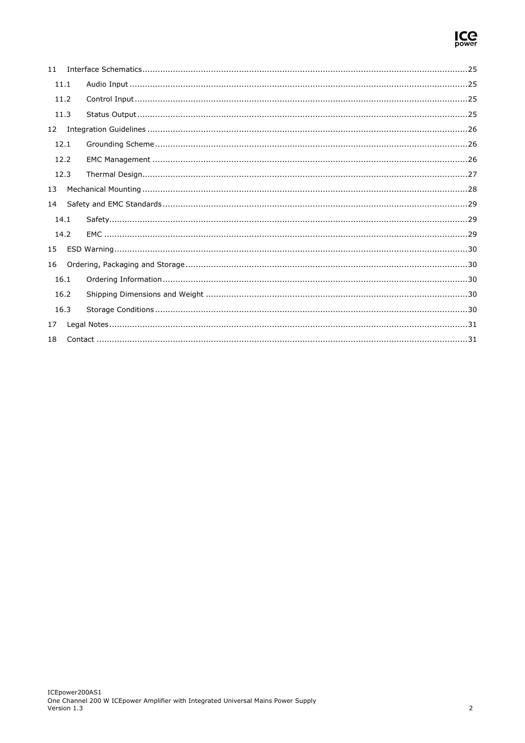

| 11 |      |  |
|----|------|--|
|    | 11.1 |  |
|    | 11.2 |  |
|    | 11.3 |  |
| 12 |      |  |
|    | 12.1 |  |
|    | 12.2 |  |
|    | 12.3 |  |
| 13 |      |  |
| 14 |      |  |
|    | 14.1 |  |
|    | 14.2 |  |
| 15 |      |  |
| 16 |      |  |
|    | 16.1 |  |
|    | 16.2 |  |
|    | 16.3 |  |
| 17 |      |  |
| 18 |      |  |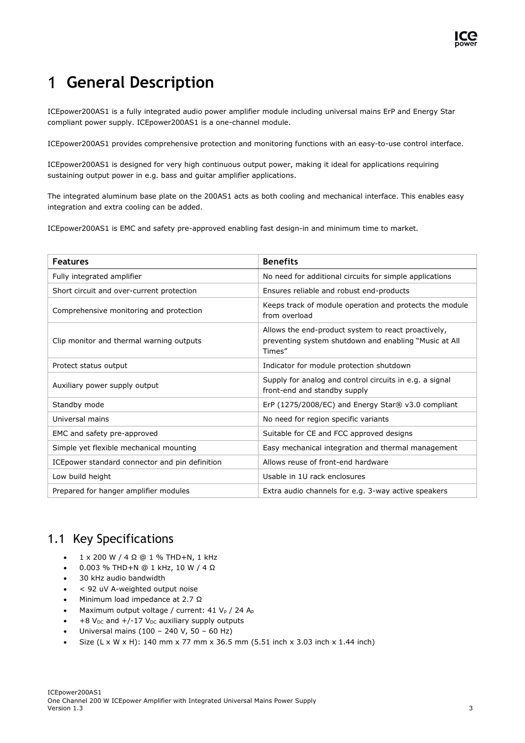## <span id="page-3-0"></span>**General Description**

ICEpower200AS1 is a fully integrated audio power amplifier module including universal mains ErP and Energy Star compliant power supply. ICEpower200AS1 is a one-channel module.

ICEpower200AS1 provides comprehensive protection and monitoring functions with an easy-to-use control interface.

ICEpower200AS1 is designed for very high continuous output power, making it ideal for applications requiring sustaining output power in e.g. bass and guitar amplifier applications.

The integrated aluminum base plate on the 200AS1 acts as both cooling and mechanical interface. This enables easy integration and extra cooling can be added.

ICEpower200AS1 is EMC and safety pre-approved enabling fast design-in and minimum time to market.

| <b>Features</b>                                 | <b>Benefits</b>                                                                                                        |
|-------------------------------------------------|------------------------------------------------------------------------------------------------------------------------|
| Fully integrated amplifier                      | No need for additional circuits for simple applications                                                                |
| Short circuit and over-current protection       | Ensures reliable and robust end-products                                                                               |
| Comprehensive monitoring and protection         | Keeps track of module operation and protects the module<br>from overload                                               |
| Clip monitor and thermal warning outputs        | Allows the end-product system to react proactively,<br>preventing system shutdown and enabling "Music at All<br>Times" |
| Protect status output                           | Indicator for module protection shutdown                                                                               |
| Auxiliary power supply output                   | Supply for analog and control circuits in e.g. a signal<br>front-end and standby supply                                |
| Standby mode                                    | ErP (1275/2008/EC) and Energy Star® v3.0 compliant                                                                     |
| Universal mains                                 | No need for region specific variants                                                                                   |
| EMC and safety pre-approved                     | Suitable for CE and FCC approved designs                                                                               |
| Simple yet flexible mechanical mounting         | Easy mechanical integration and thermal management                                                                     |
| ICE power standard connector and pin definition | Allows reuse of front-end hardware                                                                                     |
| Low build height                                | Usable in 1U rack enclosures                                                                                           |
| Prepared for hanger amplifier modules           | Extra audio channels for e.g. 3-way active speakers                                                                    |

#### <span id="page-3-1"></span>1.1 Key Specifications

- 1 x 200 W / 4 Ω @ 1 % THD+N, 1 kHz
- 0.003 % THD+N @ 1 kHz, 10 W / 4 Ω
- 30 kHz audio bandwidth
- < 92 uV A-weighted output noise
- Minimum load impedance at 2.7 Ω
- Maximum output voltage / current:  $41 V_p$  / 24 A<sub>p</sub>
- +8  $V_{DC}$  and +/-17  $V_{DC}$  auxiliary supply outputs
- Universal mains (100 240 V, 50 60 Hz)
- Size (L x W x H): 140 mm x 77 mm x 36.5 mm (5.51 inch x 3.03 inch x 1.44 inch)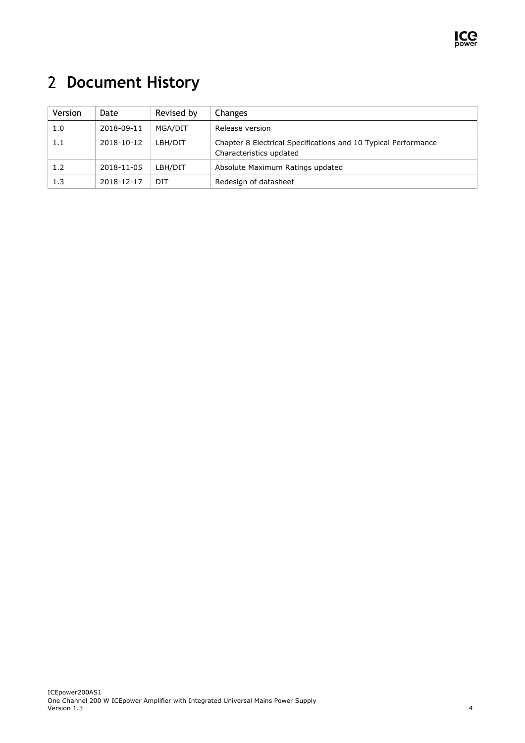

## <span id="page-4-0"></span>**Document History**

| Version | Date       | Revised by | <b>Changes</b>                                                                            |
|---------|------------|------------|-------------------------------------------------------------------------------------------|
| 1.0     | 2018-09-11 | MGA/DIT    | Release version                                                                           |
| 1.1     | 2018-10-12 | LBH/DIT    | Chapter 8 Electrical Specifications and 10 Typical Performance<br>Characteristics updated |
| 1.2     | 2018-11-05 | LBH/DIT    | Absolute Maximum Ratings updated                                                          |
| 1.3     | 2018-12-17 | DIT        | Redesign of datasheet                                                                     |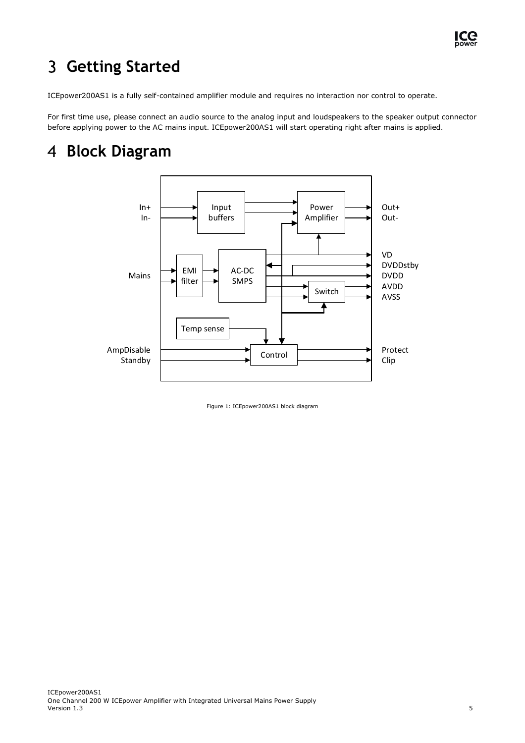

#### <span id="page-5-0"></span> $\overline{3}$ **Getting Started**

ICEpower200AS1 is a fully self-contained amplifier module and requires no interaction nor control to operate.

For first time use, please connect an audio source to the analog input and loudspeakers to the speaker output connector before applying power to the AC mains input. ICEpower200AS1 will start operating right after mains is applied.

## <span id="page-5-1"></span>**Block Diagram**



Figure 1: ICEpower200AS1 block diagram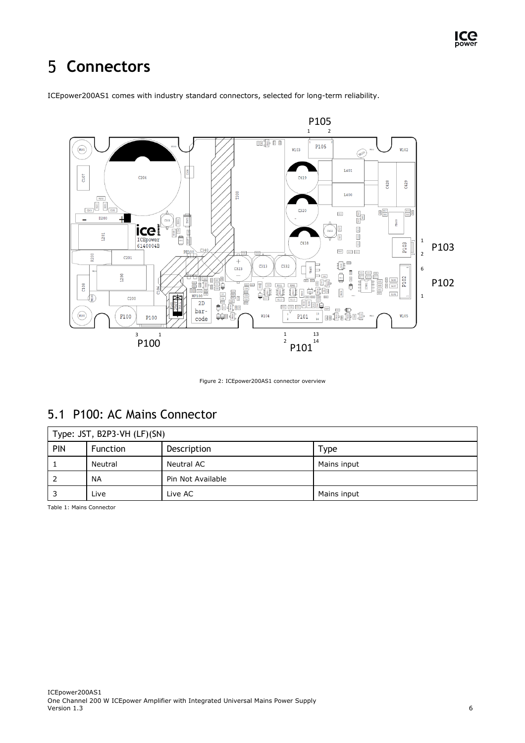#### <span id="page-6-0"></span>5 **Connectors**



ICEpower200AS1 comes with industry standard connectors, selected for long-term reliability.

Figure 2: ICEpower200AS1 connector overview

#### <span id="page-6-1"></span>5.1 P100: AC Mains Connector

|            | Type: JST, B2P3-VH (LF)(SN) |                   |             |  |  |  |
|------------|-----------------------------|-------------------|-------------|--|--|--|
| <b>PIN</b> | <b>Function</b>             | Description       | Type        |  |  |  |
|            | Neutral                     | Neutral AC        | Mains input |  |  |  |
|            | <b>NA</b>                   | Pin Not Available |             |  |  |  |
|            | Live                        | Live AC           | Mains input |  |  |  |

Table 1: Mains Connector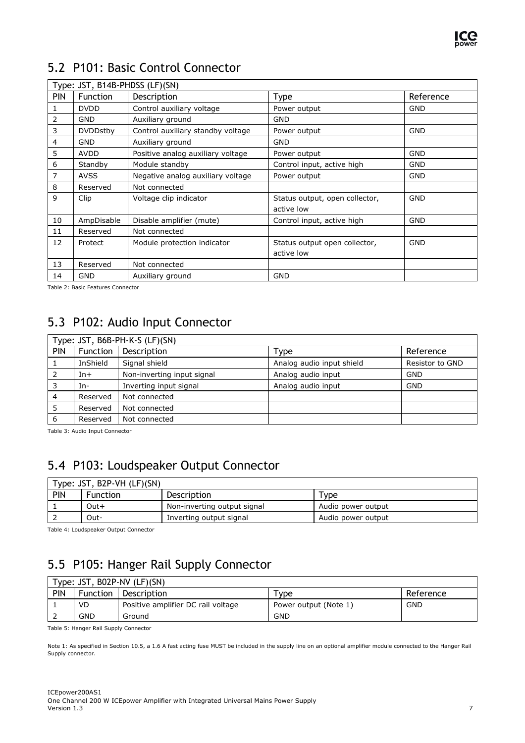

### <span id="page-7-0"></span>5.2 P101: Basic Control Connector

|            | Type: JST, B14B-PHDSS (LF)(SN) |                                   |                                              |            |  |  |
|------------|--------------------------------|-----------------------------------|----------------------------------------------|------------|--|--|
| <b>PIN</b> | Function                       | Description                       | <b>Type</b>                                  | Reference  |  |  |
| 1          | <b>DVDD</b>                    | Control auxiliary voltage         | Power output                                 | <b>GND</b> |  |  |
| 2          | <b>GND</b>                     | Auxiliary ground                  | GND                                          |            |  |  |
| 3          | <b>DVDDstby</b>                | Control auxiliary standby voltage | Power output                                 | <b>GND</b> |  |  |
| 4          | <b>GND</b>                     | Auxiliary ground                  | <b>GND</b>                                   |            |  |  |
| 5          | <b>AVDD</b>                    | Positive analog auxiliary voltage | Power output                                 | <b>GND</b> |  |  |
| 6          | Standby                        | Module standby                    | Control input, active high                   | <b>GND</b> |  |  |
| 7          | <b>AVSS</b>                    | Negative analog auxiliary voltage | Power output                                 | GND        |  |  |
| 8          | Reserved                       | Not connected                     |                                              |            |  |  |
| 9          | Clip                           | Voltage clip indicator            | Status output, open collector,<br>active low | <b>GND</b> |  |  |
| 10         | AmpDisable                     | Disable amplifier (mute)          | Control input, active high                   | <b>GND</b> |  |  |
| 11         | Reserved                       | Not connected                     |                                              |            |  |  |
| 12         | Protect                        | Module protection indicator       | Status output open collector,                | <b>GND</b> |  |  |
|            |                                |                                   | active low                                   |            |  |  |
| 13         | Reserved                       | Not connected                     |                                              |            |  |  |
| 14         | <b>GND</b>                     | Auxiliary ground                  | <b>GND</b>                                   |            |  |  |

Table 2: Basic Features Connector

#### <span id="page-7-1"></span>5.3 P102: Audio Input Connector

|            | Type: JST, B6B-PH-K-S (LF)(SN) |                            |                           |                 |  |  |  |
|------------|--------------------------------|----------------------------|---------------------------|-----------------|--|--|--|
| <b>PIN</b> | Function                       | Description                | Туре                      | Reference       |  |  |  |
|            | InShield                       | Signal shield              | Analog audio input shield | Resistor to GND |  |  |  |
|            | $In+$                          | Non-inverting input signal | Analog audio input        | <b>GND</b>      |  |  |  |
|            | In-                            | Inverting input signal     | Analog audio input        | <b>GND</b>      |  |  |  |
| 4          | Reserved                       | Not connected              |                           |                 |  |  |  |
|            | Reserved                       | Not connected              |                           |                 |  |  |  |
| 6          | Reserved                       | Not connected              |                           |                 |  |  |  |

Table 3: Audio Input Connector

### <span id="page-7-2"></span>5.4 P103: Loudspeaker Output Connector

| Type: JST, B2P-VH (LF)(SN) |                 |                             |                    |  |  |  |
|----------------------------|-----------------|-----------------------------|--------------------|--|--|--|
| <b>PIN</b>                 | <b>Function</b> | Description                 | Tvpe               |  |  |  |
|                            | Out+            | Non-inverting output signal | Audio power output |  |  |  |
|                            | Out-            | Inverting output signal     | Audio power output |  |  |  |

Table 4: Loudspeaker Output Connector

### <span id="page-7-3"></span>5.5 P105: Hanger Rail Supply Connector

|            | Type: JST, B02P-NV (LF)(SN) |                                    |                       |            |  |  |  |
|------------|-----------------------------|------------------------------------|-----------------------|------------|--|--|--|
| <b>PIN</b> | <b>Function</b>             | Description                        | Type                  | Reference  |  |  |  |
|            | VD                          | Positive amplifier DC rail voltage | Power output (Note 1) | <b>GND</b> |  |  |  |
|            | GND                         | Ground                             | <b>GND</b>            |            |  |  |  |

Table 5: Hanger Rail Supply Connector

Note 1: As specified in Sectio[n 10.5,](#page-26-0) a 1.6 A fast acting fuse MUST be included in the supply line on an optional amplifier module connected to the Hanger Rail Supply connector.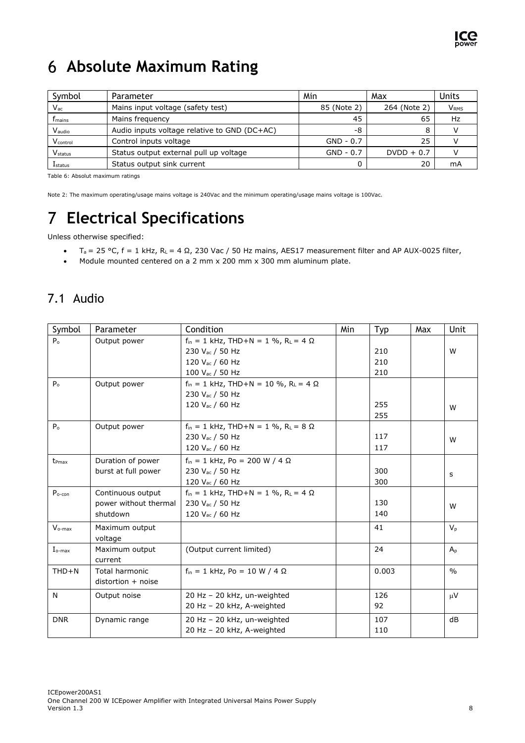

## <span id="page-8-0"></span>**Absolute Maximum Rating**

| Symbol                        | Parameter                                    | Min         | Max          | Units       |
|-------------------------------|----------------------------------------------|-------------|--------------|-------------|
| $V_{\rm ac}$                  | Mains input voltage (safety test)            | 85 (Note 2) | 264 (Note 2) | <b>VRMS</b> |
| $\mathsf{f}_{\mathsf{mains}}$ | Mains frequency                              | 45          | 65           | Hz          |
| Vaudio                        | Audio inputs voltage relative to GND (DC+AC) | -8          | 8            |             |
| Vcontrol                      | Control inputs voltage                       | $GND - 0.7$ | 25           |             |
| <b>V</b> status               | Status output external pull up voltage       | $GND - 0.7$ | $DVDD + 0.7$ |             |
| <b>L</b> status               | Status output sink current                   |             | 20           | mA          |

Table 6: Absolut maximum ratings

Note 2: The maximum operating/usage mains voltage is 240Vac and the minimum operating/usage mains voltage is 100Vac.

## <span id="page-8-1"></span>**Electrical Specifications**

Unless otherwise specified:

- Ta = 25 °C, f = 1 kHz, RL = 4 Ω, 230 Vac / 50 Hz mains, AES17 measurement filter and AP AUX-0025 filter,
- Module mounted centered on a 2 mm x 200 mm x 300 mm aluminum plate.

#### <span id="page-8-2"></span>7.1 Audio

| Symbol         | Parameter             | Condition                                                   | Min | Typ   | Max | Unit          |
|----------------|-----------------------|-------------------------------------------------------------|-----|-------|-----|---------------|
| $P_{o}$        | Output power          | $f_{in} = 1$ kHz, THD+N = 1 %, R <sub>L</sub> = 4 $\Omega$  |     |       |     |               |
|                |                       | 230 V <sub>ac</sub> / 50 Hz                                 |     | 210   |     | W             |
|                |                       | 120 V <sub>ac</sub> / 60 Hz                                 |     | 210   |     |               |
|                |                       | 100 V <sub>ac</sub> / 50 Hz                                 |     | 210   |     |               |
| P <sub>o</sub> | Output power          | $f_{in} = 1$ kHz, THD+N = 10 %, R <sub>L</sub> = 4 $\Omega$ |     |       |     |               |
|                |                       | 230 V <sub>ac</sub> / 50 Hz                                 |     |       |     |               |
|                |                       | 120 V <sub>ac</sub> / 60 Hz                                 |     | 255   |     | W             |
|                |                       |                                                             |     | 255   |     |               |
| $P_0$          | Output power          | $f_{in} = 1$ kHz, THD+N = 1 %, R <sub>L</sub> = 8 $\Omega$  |     |       |     |               |
|                |                       | 230 V <sub>ac</sub> / 50 Hz                                 |     | 117   |     | W             |
|                |                       | 120 V <sub>ac</sub> / 60 Hz                                 |     | 117   |     |               |
| $t_{Pmax}$     | Duration of power     | $f_{in} = 1$ kHz, Po = 200 W / 4 $\Omega$                   |     |       |     |               |
|                | burst at full power   | 230 V <sub>ac</sub> / 50 Hz                                 |     | 300   |     | s             |
|                |                       | 120 Vac / 60 Hz                                             |     | 300   |     |               |
| $P_{o-con}$    | Continuous output     | $f_{in} = 1$ kHz, THD+N = 1 %, R <sub>L</sub> = 4 $\Omega$  |     |       |     |               |
|                | power without thermal | 230 V <sub>ac</sub> / 50 Hz                                 |     | 130   |     | W             |
|                | shutdown              | 120 Vac / 60 Hz                                             |     | 140   |     |               |
| $V_{o-max}$    | Maximum output        |                                                             |     | 41    |     | $V_{p}$       |
|                | voltage               |                                                             |     |       |     |               |
| $I_{o-max}$    | Maximum output        | (Output current limited)                                    |     | 24    |     | $A_{p}$       |
|                | current               |                                                             |     |       |     |               |
| $THD + N$      | Total harmonic        | $f_{in} = 1$ kHz, Po = 10 W / 4 $\Omega$                    |     | 0.003 |     | $\frac{0}{0}$ |
|                | distortion + noise    |                                                             |     |       |     |               |
| N              | Output noise          | 20 Hz - 20 kHz, un-weighted                                 |     | 126   |     | $\mu$ V       |
|                |                       | 20 Hz - 20 kHz, A-weighted                                  |     | 92    |     |               |
| <b>DNR</b>     | Dynamic range         | 20 Hz - 20 kHz, un-weighted                                 |     | 107   |     | dB            |
|                |                       | 20 Hz - 20 kHz, A-weighted                                  |     | 110   |     |               |
|                |                       |                                                             |     |       |     |               |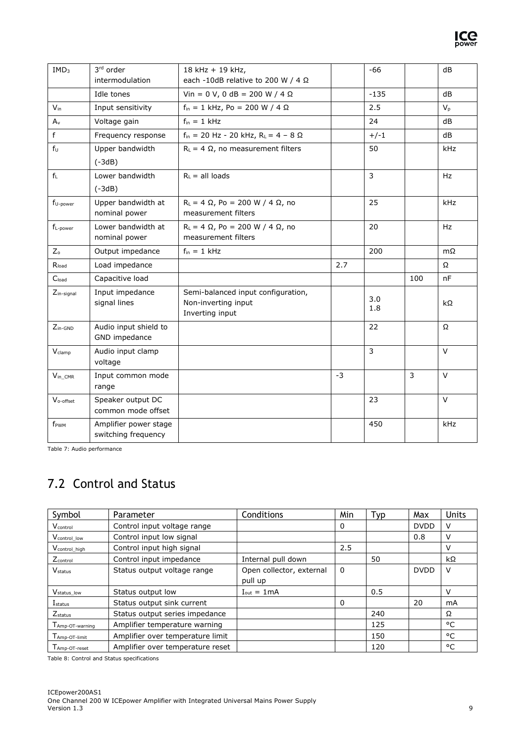| IMD <sub>3</sub>             | 3rd order<br>intermodulation                 | 18 kHz + 19 kHz,<br>each -10dB relative to 200 W / 4 $\Omega$                |      | $-66$      |                | dB        |
|------------------------------|----------------------------------------------|------------------------------------------------------------------------------|------|------------|----------------|-----------|
|                              | Idle tones                                   | Vin = 0 V, 0 dB = 200 W / 4 $\Omega$                                         |      | $-135$     |                | dB        |
| $V_{in}$                     | Input sensitivity                            | $f_{in} = 1$ kHz, Po = 200 W / 4 $\Omega$                                    |      | 2.5        |                | $V_{p}$   |
| $A_{v}$                      | Voltage gain                                 | $f_{in} = 1$ kHz                                                             |      | 24         |                | dB        |
| $\mathsf f$                  | Frequency response                           | $f_{in}$ = 20 Hz - 20 kHz, R <sub>L</sub> = 4 - 8 $\Omega$                   |      | $+/-1$     |                | dB        |
| $f_U$                        | Upper bandwidth<br>$(-3dB)$                  | $R_L = 4 \Omega$ , no measurement filters                                    |      | 50         |                | kHz       |
| $\mathsf{f}_\mathsf{L}$      | Lower bandwidth<br>$(-3dB)$                  | $R_{\perp}$ = all loads                                                      |      | 3          |                | Hz        |
| $f_{U\text{-power}}$         | Upper bandwidth at<br>nominal power          | $R_L = 4 \Omega$ , Po = 200 W / 4 $\Omega$ , no<br>measurement filters       |      | 25         |                | kHz       |
| $f_{L\text{-power}}$         | Lower bandwidth at<br>nominal power          | $R_L = 4 \Omega$ , Po = 200 W / 4 $\Omega$ , no<br>measurement filters       |      | 20         |                | <b>Hz</b> |
| $Z_{o}$                      | Output impedance                             | $f_{in} = 1$ kHz                                                             |      | 200        |                | $m\Omega$ |
| $\mathsf{R}_{\mathsf{load}}$ | Load impedance                               |                                                                              | 2.7  |            |                | Ω         |
| C <sub>load</sub>            | Capacitive load                              |                                                                              |      |            | 100            | nF        |
| $Z_{in-signal}$              | Input impedance<br>signal lines              | Semi-balanced input configuration,<br>Non-inverting input<br>Inverting input |      | 3.0<br>1.8 |                | kΩ        |
| $Z_{in-GND}$                 | Audio input shield to<br>GND impedance       |                                                                              |      | 22         |                | Ω         |
| Vclamp                       | Audio input clamp<br>voltage                 |                                                                              |      | 3          |                | V         |
| $V_{\text{in\_CMR}}$         | Input common mode<br>range                   |                                                                              | $-3$ |            | $\overline{3}$ | $\vee$    |
| V <sub>o-offset</sub>        | Speaker output DC<br>common mode offset      |                                                                              |      | 23         |                | V         |
| f <sub>PWM</sub>             | Amplifier power stage<br>switching frequency |                                                                              |      | 450        |                | kHz       |

Table 7: Audio performance

### <span id="page-9-0"></span>7.2 Control and Status

| Symbol                    | Parameter                        | Conditions                     | Min | Typ | Max         | <b>Units</b> |
|---------------------------|----------------------------------|--------------------------------|-----|-----|-------------|--------------|
| V <sub>control</sub>      | Control input voltage range      |                                | 0   |     | <b>DVDD</b> | V            |
| V <sub>control</sub> low  | Control input low signal         |                                |     |     | 0.8         | v            |
| V <sub>control_high</sub> | Control input high signal        |                                | 2.5 |     |             | v            |
| $Z_{control}$             | Control input impedance          | Internal pull down             |     | 50  |             | kΩ           |
| <b>V</b> status           | Status output voltage range      | Open collector, external       | 0   |     | <b>DVDD</b> | V            |
|                           |                                  | pull up                        |     |     |             |              |
| V <sub>status_low</sub>   | Status output low                | $I_{\text{out}} = 1 \text{mA}$ |     | 0.5 |             | v            |
| $I_{status}$              | Status output sink current       |                                | 0   |     | 20          | mA           |
| $Z_{status}$              | Status output series impedance   |                                |     | 240 |             | Ω            |
| Amp-OT-warning            | Amplifier temperature warning    |                                |     | 125 |             | °C           |
| Amp-OT-limit              | Amplifier over temperature limit |                                |     | 150 |             | °C           |
| Amp-OT-reset              | Amplifier over temperature reset |                                |     | 120 |             | °C           |

Table 8: Control and Status specifications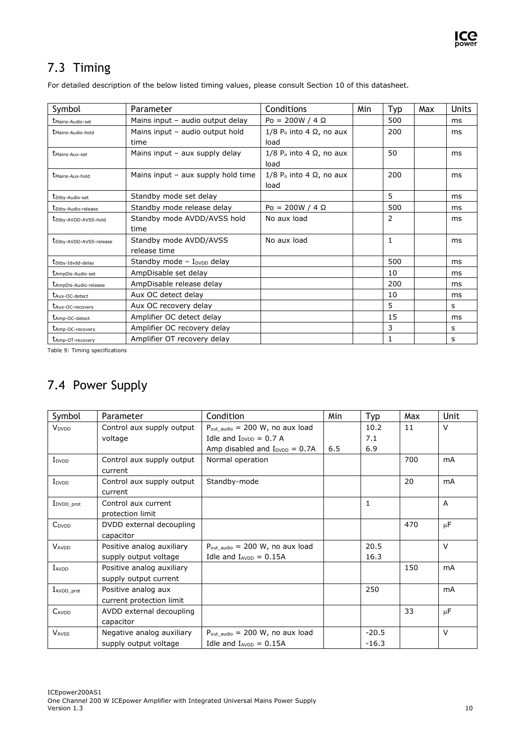### <span id="page-10-0"></span>7.3 Timing

For detailed description of the below listed timing values, please consult Section 10 of this datasheet.

| Symbol                                     | Parameter                                | Conditions                                            | Min | Typ | Max | <b>Units</b> |
|--------------------------------------------|------------------------------------------|-------------------------------------------------------|-----|-----|-----|--------------|
| <b><i>Umains-Audio-set</i></b>             | Mains input - audio output delay         | $Po = 200W / 4 \Omega$                                |     | 500 |     | ms           |
| <b><i>Umains-Audio-hold</i></b>            | Mains input - audio output hold<br>time  | $1/8$ P <sub>o</sub> into 4 $\Omega$ , no aux<br>load |     | 200 |     | ms           |
| <b><i>Unains-Aux-set</i></b>               | Mains input - aux supply delay           | $1/8$ P <sub>o</sub> into 4 $\Omega$ , no aux<br>load |     | 50  |     | ms           |
| <b><i>Umains-Aux-hold</i></b>              | Mains input - aux supply hold time       | $1/8$ P <sub>o</sub> into 4 $\Omega$ , no aux<br>load |     | 200 |     | ms           |
| t <sub>Stby-Audio-set</sub>                | Standby mode set delay                   |                                                       |     | 5   |     | ms           |
| tStby-Audio-release                        | Standby mode release delay               | Po = 200W / 4 $\Omega$                                |     | 500 |     | ms           |
| t <sub>Stby-AVDD-AVSS-hold</sub>           | Standby mode AVDD/AVSS hold<br>time      | No aux load                                           |     | 2   |     | ms           |
| tStby-AVDD-AVSS-release                    | Standby mode AVDD/AVSS<br>release time   | No aux load                                           |     | 1   |     | ms           |
| t <sub>Stby-Idvdd-delay</sub>              | Standby mode $-$ I <sub>DVDD</sub> delay |                                                       |     | 500 |     | ms           |
| <b><i>LAmpDis-Audio-set</i></b>            | AmpDisable set delay                     |                                                       |     | 10  |     | ms           |
| <i><b><i>LAmpDis-Audio-release</i></b></i> | AmpDisable release delay                 |                                                       |     | 200 |     | ms           |
| t <sub>Aux-OC-detect</sub>                 | Aux OC detect delay                      |                                                       |     | 10  |     | ms           |
| tAux-OC-recovery                           | Aux OC recovery delay                    |                                                       |     | 5   |     | s            |
| <b><i>LAmp-OC-detect</i></b>               | Amplifier OC detect delay                |                                                       |     | 15  |     | ms           |
| t <sub>Amp-OC-recovery</sub>               | Amplifier OC recovery delay              |                                                       |     | 3   |     | s            |
| <b><i>LAmp-OT-recovery</i></b>             | Amplifier OT recovery delay              |                                                       |     | 1   |     | s            |

Table 9: Timing specifications

### <span id="page-10-1"></span>7.4 Power Supply

| Symbol                  | Parameter                 | Condition                                            | Min | Typ     | Max | Unit           |
|-------------------------|---------------------------|------------------------------------------------------|-----|---------|-----|----------------|
| V <sub>DVDD</sub>       | Control aux supply output | $P_{\text{out audio}} = 200 \text{ W}$ , no aux load |     | 10.2    | 11  | $\vee$         |
|                         | voltage                   | Idle and $I_{\text{DVDD}} = 0.7 A$                   |     | 7.1     |     |                |
|                         |                           | Amp disabled and $I_{\text{DVDD}} = 0.7A$            | 6.5 | 6.9     |     |                |
| I <sub>DVDD</sub>       | Control aux supply output | Normal operation                                     |     |         | 700 | mA             |
|                         | current                   |                                                      |     |         |     |                |
| I <sub>DVDD</sub>       | Control aux supply output | Standby-mode                                         |     |         | 20  | mA             |
|                         | current                   |                                                      |     |         |     |                |
| I <sub>DVDD_prot</sub>  | Control aux current       |                                                      |     | 1       |     | $\overline{A}$ |
|                         | protection limit          |                                                      |     |         |     |                |
| C <sub>DVDD</sub>       | DVDD external decoupling  |                                                      |     |         | 470 | $\mu$ F        |
|                         | capacitor                 |                                                      |     |         |     |                |
| <b>VAVDD</b>            | Positive analog auxiliary | $P_{\text{out audio}} = 200$ W, no aux load          |     | 20.5    |     | $\vee$         |
|                         | supply output voltage     | Idle and $I_{AVDD} = 0.15A$                          |     | 16.3    |     |                |
| $I_{\text{AVDD}}$       | Positive analog auxiliary |                                                      |     |         | 150 | mA             |
|                         | supply output current     |                                                      |     |         |     |                |
| $I_{\text{AVDD\_prot}}$ | Positive analog aux       |                                                      |     | 250     |     | mA             |
|                         | current protection limit  |                                                      |     |         |     |                |
| CAVDD                   | AVDD external decoupling  |                                                      |     |         | 33  | $\mu$ F        |
|                         | capacitor                 |                                                      |     |         |     |                |
| <b>VAVSS</b>            | Negative analog auxiliary | $P_{\text{out audio}} = 200 \text{ W}$ , no aux load |     | $-20.5$ |     | $\vee$         |
|                         | supply output voltage     | Idle and $I_{AVDD} = 0.15A$                          |     | $-16.3$ |     |                |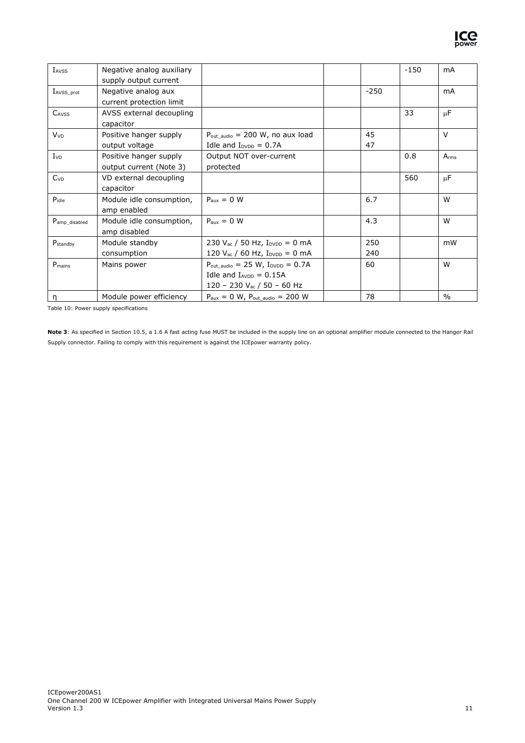

| IAVSS                           | Negative analog auxiliary |                                                                               |        | $-150$ | mA            |
|---------------------------------|---------------------------|-------------------------------------------------------------------------------|--------|--------|---------------|
|                                 | supply output current     |                                                                               |        |        |               |
| $I_{AVSS\_prot}$                | Negative analog aux       |                                                                               | $-250$ |        | mA            |
|                                 | current protection limit  |                                                                               |        |        |               |
| CAVSS                           | AVSS external decoupling  |                                                                               |        | 33     | $\mu$ F       |
|                                 | capacitor                 |                                                                               |        |        |               |
| <b>V</b> <sub>VD</sub>          | Positive hanger supply    | $P_{\text{out audio}} = 200 \text{ W}$ , no aux load                          | 45     |        | $\vee$        |
|                                 | output voltage            | Idle and $I_{\text{DVDD}} = 0.7A$                                             | 47     |        |               |
| $I_{VD}$                        | Positive hanger supply    | Output NOT over-current                                                       |        | 0.8    | $A_{rms}$     |
|                                 | output current (Note 3)   | protected                                                                     |        |        |               |
| C <sub>VD</sub>                 | VD external decoupling    |                                                                               |        | 560    | $\mu$ F       |
|                                 | capacitor                 |                                                                               |        |        |               |
| $P_{idle}$                      | Module idle consumption,  | $P_{\text{aux}} = 0$ W                                                        | 6.7    |        | W             |
|                                 | amp enabled               |                                                                               |        |        |               |
| Pamp_disabled                   | Module idle consumption,  | $P_{\text{aux}} = 0$ W                                                        | 4.3    |        | W             |
|                                 | amp disabled              |                                                                               |        |        |               |
| $P_{\footnotesize \rm standby}$ | Module standby            | 230 $V_{ac}$ / 50 Hz, $I_{DVDD} = 0$ mA                                       | 250    |        | mW            |
|                                 | consumption               | 120 $V_{ac}$ / 60 Hz, $I_{DVDD} = 0$ mA                                       | 240    |        |               |
| $P_{\text{mains}}$              | Mains power               | $P_{\text{out}\_\text{audio}} = 25 \text{ W}, I_{\text{DVDD}} = 0.7 \text{A}$ | 60     |        | W             |
|                                 |                           | Idle and $I_{AVDD} = 0.15A$                                                   |        |        |               |
|                                 |                           | 120 - 230 $V_{ac}$ / 50 - 60 Hz                                               |        |        |               |
| ŋ                               | Module power efficiency   | $P_{\text{aux}} = 0$ W, $P_{\text{out audio}} = 200$ W                        | 78     |        | $\frac{0}{0}$ |

<span id="page-11-0"></span>Table 10: Power supply specifications

**Note 3**: As specified in Sectio[n 10.5,](#page-26-0) a 1.6 A fast acting fuse MUST be included in the supply line on an optional amplifier module connected to the Hanger Rail Supply connector. Failing to comply with this requirement is against the ICEpower warranty policy.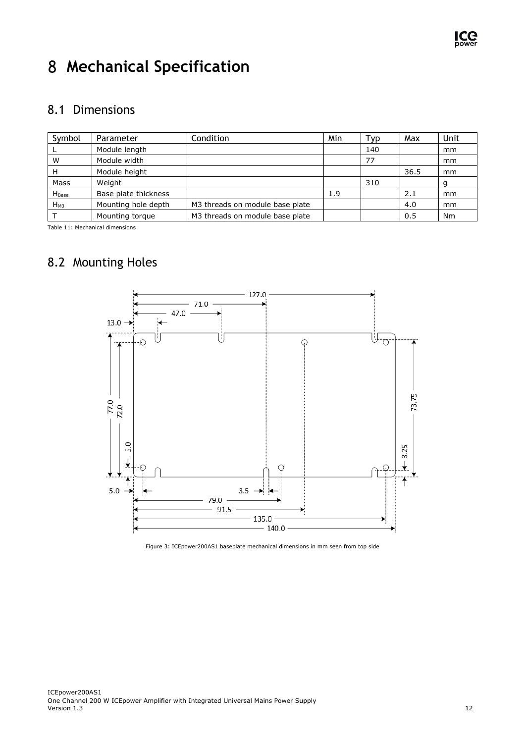

## <span id="page-12-0"></span>**Mechanical Specification**

#### <span id="page-12-1"></span>8.1 Dimensions

| Symbol            | Parameter            | Condition                       | Min | Typ | Max  | Unit      |
|-------------------|----------------------|---------------------------------|-----|-----|------|-----------|
|                   | Module length        |                                 |     | 140 |      | mm        |
| W                 | Module width         |                                 |     | 77  |      | mm        |
| н                 | Module height        |                                 |     |     | 36.5 | mm        |
| Mass              | Weight               |                                 |     | 310 |      |           |
| H <sub>Base</sub> | Base plate thickness |                                 | 1.9 |     | 2.1  | mm        |
| $H_{M3}$          | Mounting hole depth  | M3 threads on module base plate |     |     | 4.0  | mm        |
|                   | Mounting torque      | M3 threads on module base plate |     |     | 0.5  | <b>Nm</b> |

Table 11: Mechanical dimensions

### <span id="page-12-2"></span>8.2 Mounting Holes



<span id="page-12-4"></span><span id="page-12-3"></span>Figure 3: ICEpower200AS1 baseplate mechanical dimensions in mm seen from top side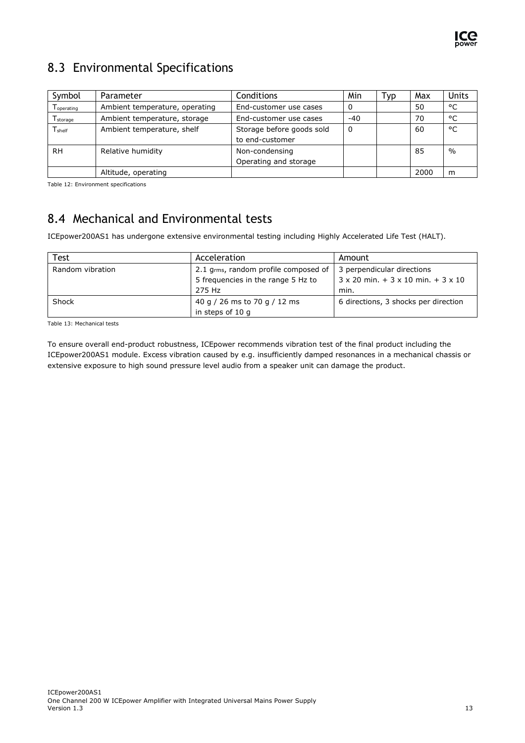

### <span id="page-13-0"></span>8.3 Environmental Specifications

| Symbol                          | Parameter                      | Conditions                | Min      | Typ | Max  | <b>Units</b>  |
|---------------------------------|--------------------------------|---------------------------|----------|-----|------|---------------|
| Toperating                      | Ambient temperature, operating | End-customer use cases    | $\Omega$ |     | 50   | °C            |
| $\mathsf{T}_{\mathsf{storage}}$ | Ambient temperature, storage   | End-customer use cases    | $-40$    |     | 70   | °C            |
| $T_{\sf shelf}$                 | Ambient temperature, shelf     | Storage before goods sold | 0        |     | 60   | °C            |
|                                 |                                | to end-customer           |          |     |      |               |
| <b>RH</b>                       | Relative humidity              | Non-condensing            |          |     | 85   | $\frac{0}{0}$ |
|                                 |                                | Operating and storage     |          |     |      |               |
|                                 | Altitude, operating            |                           |          |     | 2000 | m             |

Table 12: Environment specifications

#### <span id="page-13-1"></span>8.4 Mechanical and Environmental tests

ICEpower200AS1 has undergone extensive environmental testing including Highly Accelerated Life Test (HALT).

| Test             | Acceleration                         | Amount                                                  |
|------------------|--------------------------------------|---------------------------------------------------------|
| Random vibration | 2.1 grms, random profile composed of | 3 perpendicular directions                              |
|                  | 5 frequencies in the range 5 Hz to   | $3 \times 20$ min. $+ 3 \times 10$ min. $+ 3 \times 10$ |
|                  | 275 Hz                               | min.                                                    |
| Shock            | 40 g / 26 ms to 70 g / 12 ms         | 6 directions, 3 shocks per direction                    |
|                  | in steps of 10 g                     |                                                         |

Table 13: Mechanical tests

To ensure overall end-product robustness, ICEpower recommends vibration test of the final product including the ICEpower200AS1 module. Excess vibration caused by e.g. insufficiently damped resonances in a mechanical chassis or extensive exposure to high sound pressure level audio from a speaker unit can damage the product.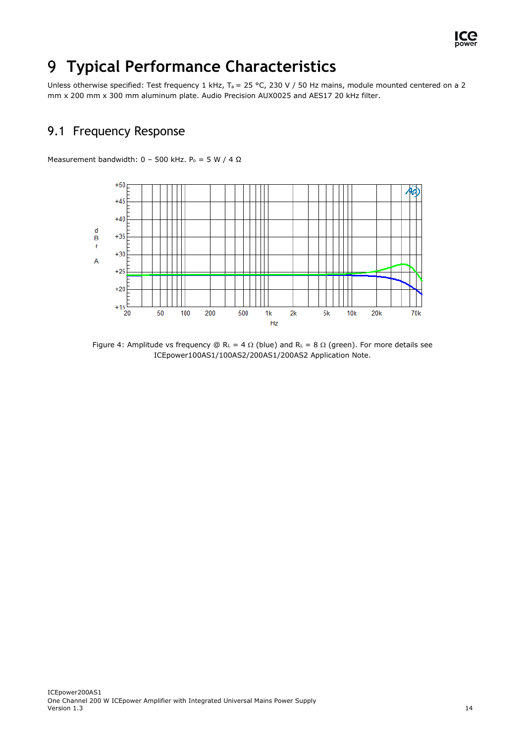

#### <span id="page-14-0"></span>**Typical Performance Characteristics** 9

Unless otherwise specified: Test frequency 1 kHz, T<sub>a</sub> = 25 °C, 230 V / 50 Hz mains, module mounted centered on a 2 mm x 200 mm x 300 mm aluminum plate. Audio Precision AUX0025 and AES17 20 kHz filter.

#### <span id="page-14-1"></span>9.1 Frequency Response

Measurement bandwidth:  $0 - 500$  kHz.  $P_0 = 5$  W / 4  $\Omega$ 



Figure 4: Amplitude vs frequency  $\mathbb{Q}$  R<sub>L</sub> = 4  $\Omega$  (blue) and R<sub>L</sub> = 8  $\Omega$  (green). For more details see ICEpower100AS1/100AS2/200AS1/200AS2 Application Note.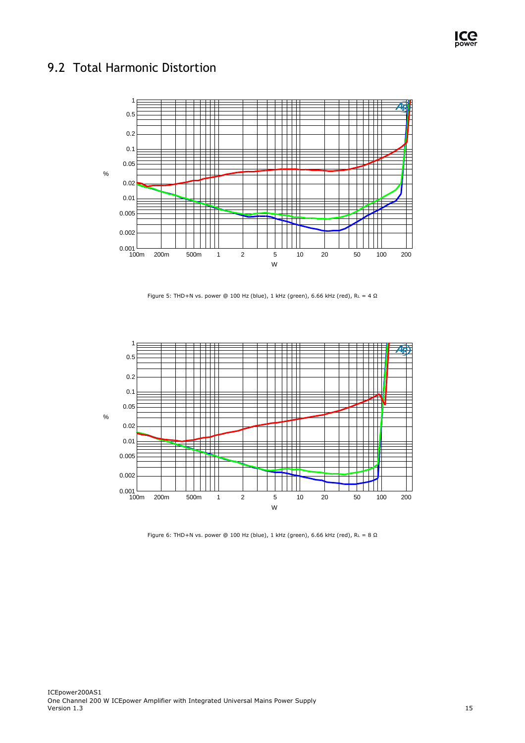#### <span id="page-15-0"></span>9.2 Total Harmonic Distortion



Figure 5: THD+N vs. power @ 100 Hz (blue), 1 kHz (green), 6.66 kHz (red),  $R_L = 4 \Omega$ 



Figure 6: THD+N vs. power @ 100 Hz (blue), 1 kHz (green), 6.66 kHz (red),  $R_L = 8 \Omega$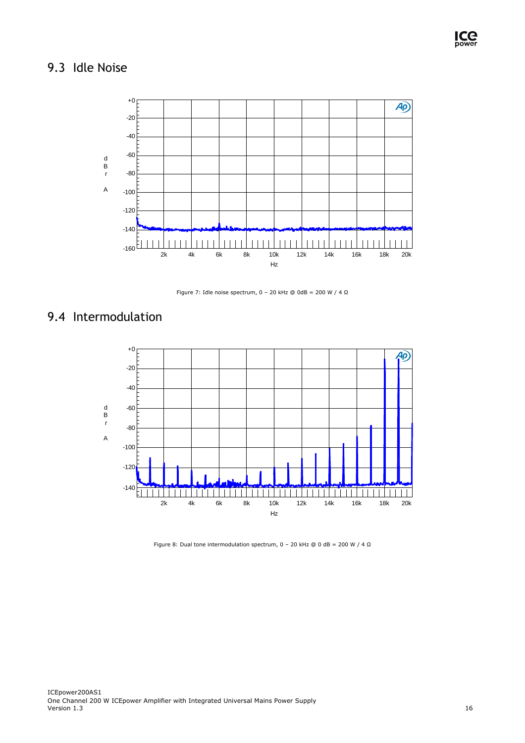### <span id="page-16-0"></span>9.3 Idle Noise



Figure 7: Idle noise spectrum,  $0 - 20$  kHz @ 0dB = 200 W / 4  $\Omega$ 

#### <span id="page-16-1"></span>9.4 Intermodulation



Figure 8: Dual tone intermodulation spectrum, 0 – 20 kHz @ 0 dB = 200 W / 4  $\Omega$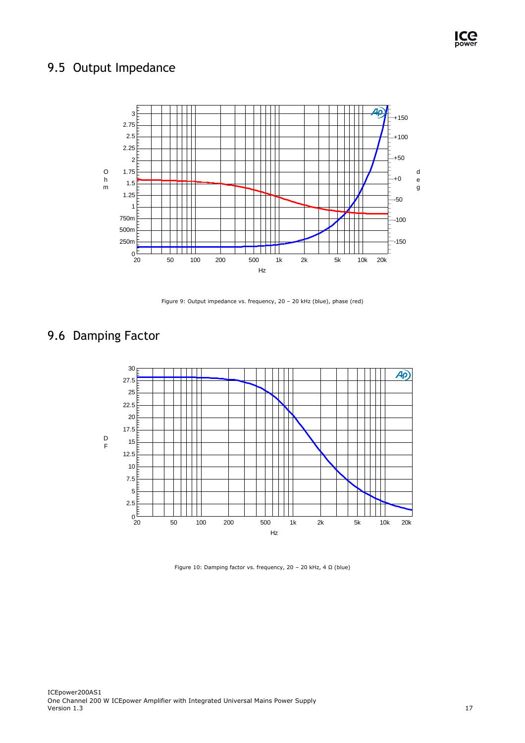### <span id="page-17-0"></span>9.5 Output Impedance



Figure 9: Output impedance vs. frequency, 20 – 20 kHz (blue), phase (red)

### <span id="page-17-1"></span>9.6 Damping Factor



Figure 10: Damping factor vs. frequency, 20 – 20 kHz, 4 Ω (blue)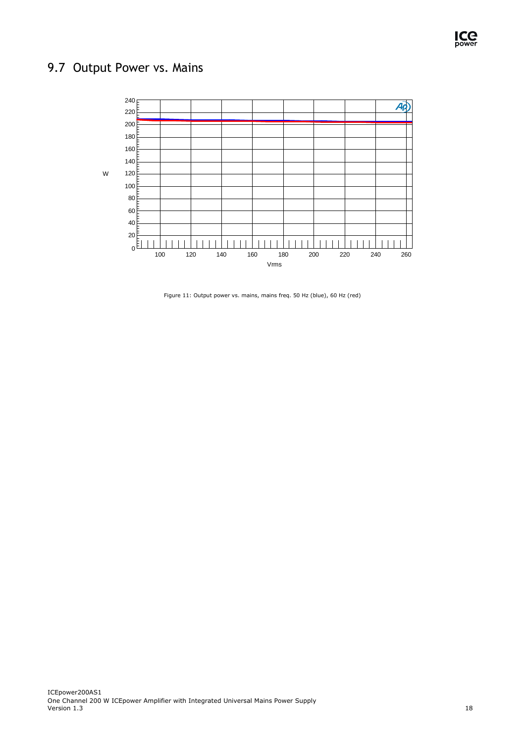### <span id="page-18-0"></span>9.7 Output Power vs. Mains



Figure 11: Output power vs. mains, mains freq. 50 Hz (blue), 60 Hz (red)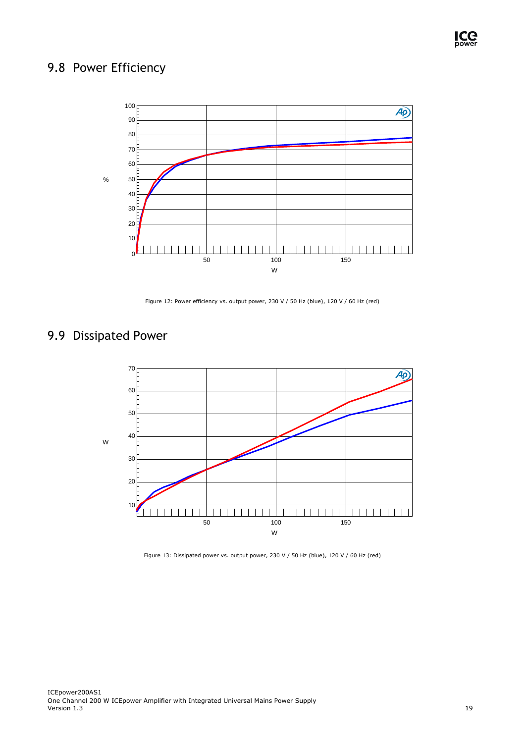### <span id="page-19-0"></span>9.8 Power Efficiency



Figure 12: Power efficiency vs. output power, 230 V / 50 Hz (blue), 120 V / 60 Hz (red)

### <span id="page-19-1"></span>9.9 Dissipated Power



Figure 13: Dissipated power vs. output power, 230 V / 50 Hz (blue), 120 V / 60 Hz (red)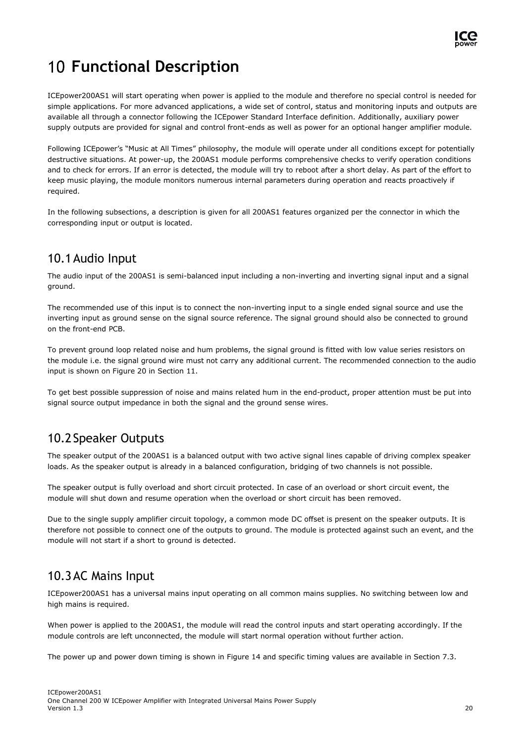

## <span id="page-20-0"></span>**Functional Description**

ICEpower200AS1 will start operating when power is applied to the module and therefore no special control is needed for simple applications. For more advanced applications, a wide set of control, status and monitoring inputs and outputs are available all through a connector following the ICEpower Standard Interface definition. Additionally, auxiliary power supply outputs are provided for signal and control front-ends as well as power for an optional hanger amplifier module.

Following ICEpower's "Music at All Times" philosophy, the module will operate under all conditions except for potentially destructive situations. At power-up, the 200AS1 module performs comprehensive checks to verify operation conditions and to check for errors. If an error is detected, the module will try to reboot after a short delay. As part of the effort to keep music playing, the module monitors numerous internal parameters during operation and reacts proactively if required.

In the following subsections, a description is given for all 200AS1 features organized per the connector in which the corresponding input or output is located.

#### <span id="page-20-1"></span>10.1Audio Input

The audio input of the 200AS1 is semi-balanced input including a non-inverting and inverting signal input and a signal ground.

The recommended use of this input is to connect the non-inverting input to a single ended signal source and use the inverting input as ground sense on the signal source reference. The signal ground should also be connected to ground on the front-end PCB.

To prevent ground loop related noise and hum problems, the signal ground is fitted with low value series resistors on the module i.e. the signal ground wire must not carry any additional current. The recommended connection to the audio input is shown on [Figure 20](#page-26-4) in Section [11.](#page-26-5)

To get best possible suppression of noise and mains related hum in the end-product, proper attention must be put into signal source output impedance in both the signal and the ground sense wires.

#### <span id="page-20-2"></span>10.2Speaker Outputs

The speaker output of the 200AS1 is a balanced output with two active signal lines capable of driving complex speaker loads. As the speaker output is already in a balanced configuration, bridging of two channels is not possible.

The speaker output is fully overload and short circuit protected. In case of an overload or short circuit event, the module will shut down and resume operation when the overload or short circuit has been removed.

Due to the single supply amplifier circuit topology, a common mode DC offset is present on the speaker outputs. It is therefore not possible to connect one of the outputs to ground. The module is protected against such an event, and the module will not start if a short to ground is detected.

#### <span id="page-20-3"></span>10.3AC Mains Input

ICEpower200AS1 has a universal mains input operating on all common mains supplies. No switching between low and high mains is required.

When power is applied to the 200AS1, the module will read the control inputs and start operating accordingly. If the module controls are left unconnected, the module will start normal operation without further action.

The power up and power down timing is shown in [Figure 14](#page-21-1) and specific timing values are available in Section [7.3.](#page-10-0)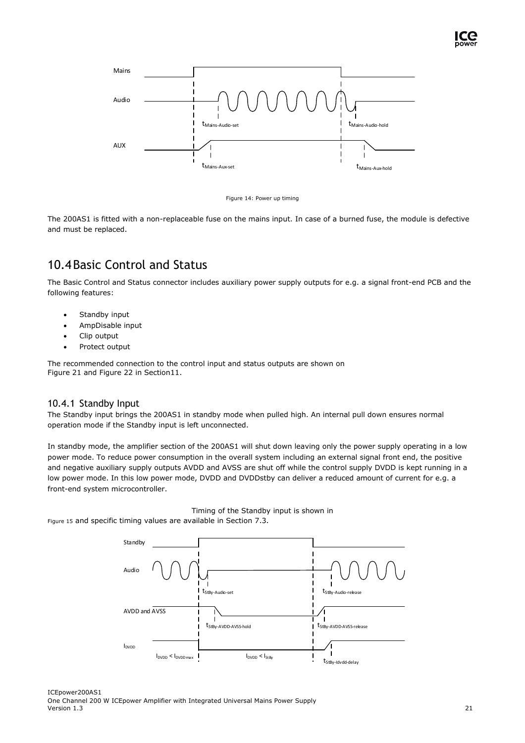

Figure 14: Power up timing

<span id="page-21-1"></span>The 200AS1 is fitted with a non-replaceable fuse on the mains input. In case of a burned fuse, the module is defective and must be replaced.

### <span id="page-21-0"></span>10.4Basic Control and Status

The Basic Control and Status connector includes auxiliary power supply outputs for e.g. a signal front-end PCB and the following features:

- Standby input
- AmpDisable input
- Clip output
- Protect output

The recommended connection to the control input and status outputs are shown on [Figure](#page-27-1) 21 and [Figure 22](#page-27-2) in Sectio[n11.](#page-26-5)

#### 10.4.1 Standby Input

The Standby input brings the 200AS1 in standby mode when pulled high. An internal pull down ensures normal operation mode if the Standby input is left unconnected.

In standby mode, the amplifier section of the 200AS1 will shut down leaving only the power supply operating in a low power mode. To reduce power consumption in the overall system including an external signal front end, the positive and negative auxiliary supply outputs AVDD and AVSS are shut off while the control supply DVDD is kept running in a low power mode. In this low power mode, DVDD and DVDDstby can deliver a reduced amount of current for e.g. a front-end system microcontroller.

<span id="page-21-2"></span>Timing of the Standby input is shown in

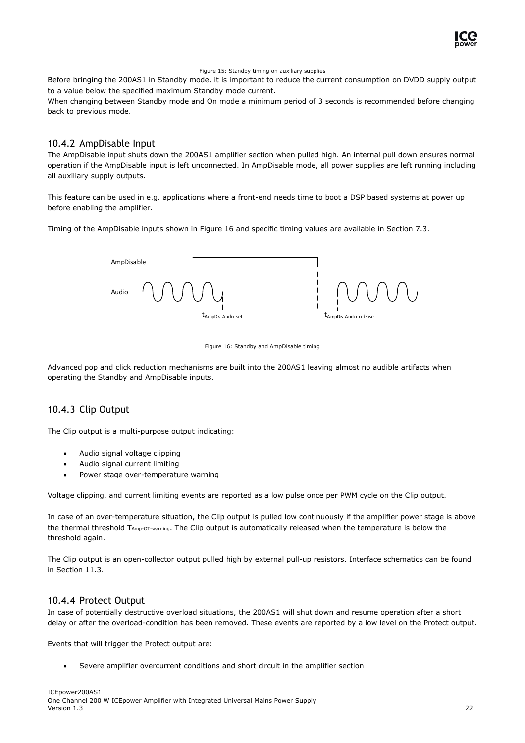

#### Figure 15: Standby timing on auxiliary supplies

Before bringing the 200AS1 in Standby mode, it is important to reduce the current consumption on DVDD supply output to a value below the specified maximum Standby mode current.

When changing between Standby mode and On mode a minimum period of 3 seconds is recommended before changing back to previous mode.

#### 10.4.2 AmpDisable Input

The AmpDisable input shuts down the 200AS1 amplifier section when pulled high. An internal pull down ensures normal operation if the AmpDisable input is left unconnected. In AmpDisable mode, all power supplies are left running including all auxiliary supply outputs.

This feature can be used in e.g. applications where a front-end needs time to boot a DSP based systems at power up before enabling the amplifier.

Timing of the AmpDisable inputs shown in [Figure 16](#page-22-0) and specific timing values are available in Sectio[n 7.3.](#page-10-0)



Figure 16: Standby and AmpDisable timing

<span id="page-22-0"></span>Advanced pop and click reduction mechanisms are built into the 200AS1 leaving almost no audible artifacts when operating the Standby and AmpDisable inputs.

#### 10.4.3 Clip Output

The Clip output is a multi-purpose output indicating:

- Audio signal voltage clipping
- Audio signal current limiting
- Power stage over-temperature warning

Voltage clipping, and current limiting events are reported as a low pulse once per PWM cycle on the Clip output.

In case of an over-temperature situation, the Clip output is pulled low continuously if the amplifier power stage is above the thermal threshold TAmp-OT-warning. The Clip output is automatically released when the temperature is below the threshold again.

The Clip output is an open-collector output pulled high by external pull-up resistors. Interface schematics can be found in Section [11.3.](#page-27-0)

#### 10.4.4 Protect Output

In case of potentially destructive overload situations, the 200AS1 will shut down and resume operation after a short delay or after the overload-condition has been removed. These events are reported by a low level on the Protect output.

Events that will trigger the Protect output are:

• Severe amplifier overcurrent conditions and short circuit in the amplifier section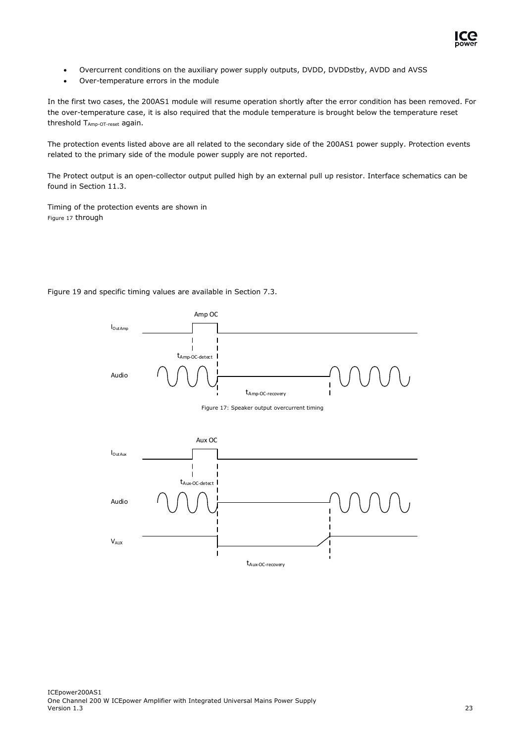<span id="page-23-0"></span>

- Overcurrent conditions on the auxiliary power supply outputs, DVDD, DVDDstby, AVDD and AVSS
- Over-temperature errors in the module

In the first two cases, the 200AS1 module will resume operation shortly after the error condition has been removed. For the over-temperature case, it is also required that the module temperature is brought below the temperature reset threshold TAmp-OT-reset again.

The protection events listed above are all related to the secondary side of the 200AS1 power supply. Protection events related to the primary side of the module power supply are not reported.

The Protect output is an open-collector output pulled high by an external pull up resistor. Interface schematics can be found in Section [11.3.](#page-27-0)

Timing of the protection events are shown in [Figure 17](#page-23-0) throug[h](#page-24-0) 

[Figure 19](#page-24-0) and specific timing values are available in Section [7.3.](#page-10-0)



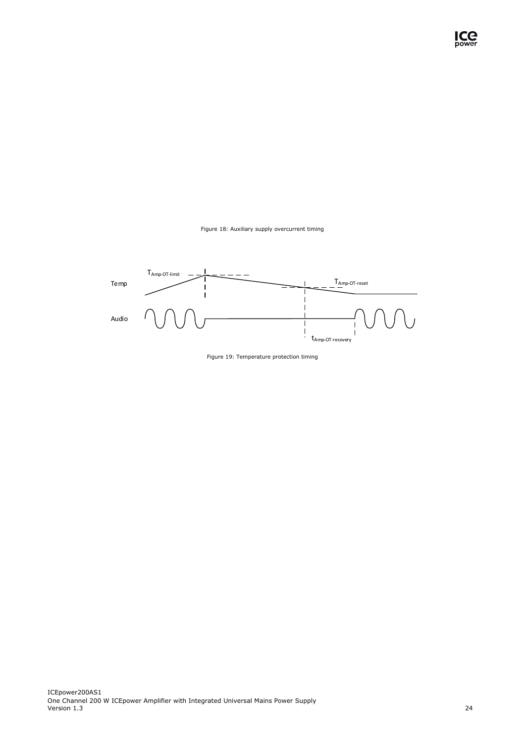

<span id="page-24-1"></span><span id="page-24-0"></span>

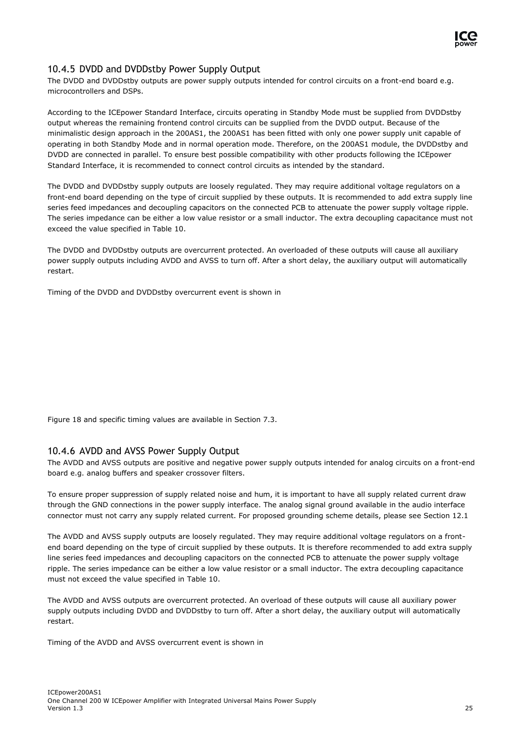

#### 10.4.5 DVDD and DVDDstby Power Supply Output

The DVDD and DVDDstby outputs are power supply outputs intended for control circuits on a front-end board e.g. microcontrollers and DSPs.

According to the ICEpower Standard Interface, circuits operating in Standby Mode must be supplied from DVDDstby output whereas the remaining frontend control circuits can be supplied from the DVDD output. Because of the minimalistic design approach in the 200AS1, the 200AS1 has been fitted with only one power supply unit capable of operating in both Standby Mode and in normal operation mode. Therefore, on the 200AS1 module, the DVDDstby and DVDD are connected in parallel. To ensure best possible compatibility with other products following the ICEpower Standard Interface, it is recommended to connect control circuits as intended by the standard.

The DVDD and DVDDstby supply outputs are loosely regulated. They may require additional voltage regulators on a front-end board depending on the type of circuit supplied by these outputs. It is recommended to add extra supply line series feed impedances and decoupling capacitors on the connected PCB to attenuate the power supply voltage ripple. The series impedance can be either a low value resistor or a small inductor. The extra decoupling capacitance must not exceed the value specified in [Table 10.](#page-11-0)

The DVDD and DVDDstby outputs are overcurrent protected. An overloaded of these outputs will cause all auxiliary power supply outputs including AVDD and AVSS to turn off. After a short delay, the auxiliary output will automatically restart.

Timing of the DVDD and DVDDstby overcurrent event is shown in

[Figure 18](#page-24-1) and specific timing values are available in Section [7.3.](#page-10-0)

#### 10.4.6 AVDD and AVSS Power Supply Output

The AVDD and AVSS outputs are positive and negative power supply outputs intended for analog circuits on a front-end board e.g. analog buffers and speaker crossover filters.

To ensure proper suppression of supply related noise and hum, it is important to have all supply related current draw through the GND connections in the power supply interface. The analog signal ground available in the audio interface connector must not carry any supply related current. For proposed grounding scheme details, please see Section [12.1](#page-28-1)

The AVDD and AVSS supply outputs are loosely regulated. They may require additional voltage regulators on a frontend board depending on the type of circuit supplied by these outputs. It is therefore recommended to add extra supply line series feed impedances and decoupling capacitors on the connected PCB to attenuate the power supply voltage ripple. The series impedance can be either a low value resistor or a small inductor. The extra decoupling capacitance must not exceed the value specified in [Table 10.](#page-11-0)

The AVDD and AVSS outputs are overcurrent protected. An overload of these outputs will cause all auxiliary power supply outputs including DVDD and DVDDstby to turn off. After a short delay, the auxiliary output will automatically restart.

Timing of the AVDD and AVSS overcurrent event is shown in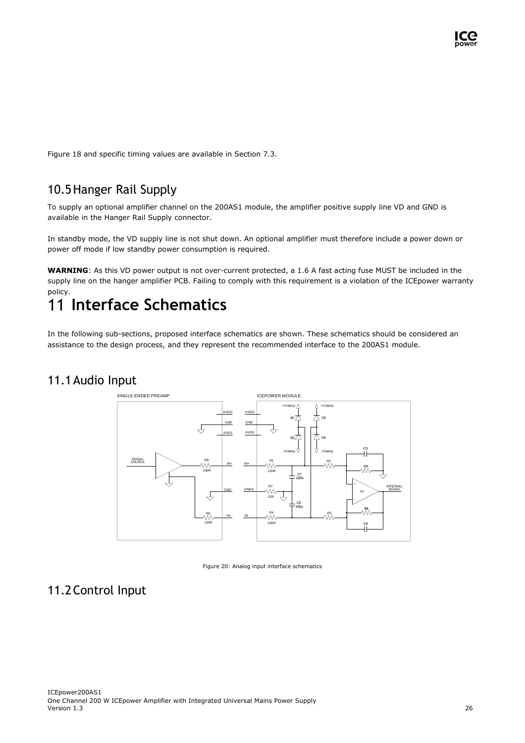[Figure 18](#page-24-1) and specific timing values are available in Section [7.3.](#page-10-0)

#### <span id="page-26-0"></span>10.5Hanger Rail Supply

To supply an optional amplifier channel on the 200AS1 module, the amplifier positive supply line VD and GND is available in the Hanger Rail Supply connector.

In standby mode, the VD supply line is not shut down. An optional amplifier must therefore include a power down or power off mode if low standby power consumption is required.

**WARNING**: As this VD power output is not over-current protected, a 1.6 A fast acting fuse MUST be included in the supply line on the hanger amplifier PCB. Failing to comply with this requirement is a violation of the ICEpower warranty policy.

## <span id="page-26-5"></span><span id="page-26-1"></span>**Interface Schematics**

In the following sub-sections, proposed interface schematics are shown. These schematics should be considered an assistance to the design process, and they represent the recommended interface to the 200AS1 module.

#### <span id="page-26-2"></span>11.1Audio Input



Figure 20: Analog input interface schematics

#### <span id="page-26-4"></span><span id="page-26-3"></span>11.2Control Input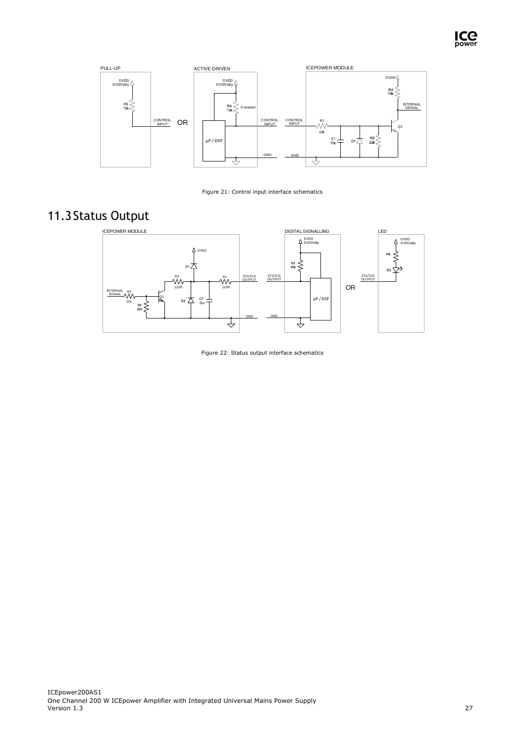<span id="page-27-1"></span>



Figure 21: Control input interface schematics

### <span id="page-27-0"></span>11.3Status Output

<span id="page-27-2"></span>

Figure 22: Status output interface schematics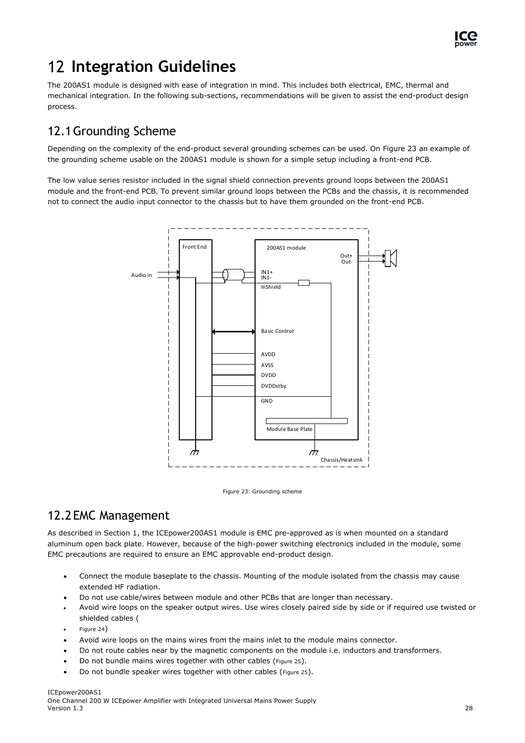

## <span id="page-28-0"></span>**Integration Guidelines**

The 200AS1 module is designed with ease of integration in mind. This includes both electrical, EMC, thermal and mechanical integration. In the following sub-sections, recommendations will be given to assist the end-product design process.

#### <span id="page-28-1"></span>12.1Grounding Scheme

Depending on the complexity of the end-product several grounding schemes can be used. On [Figure 23](#page-28-3) an example of the grounding scheme usable on the 200AS1 module is shown for a simple setup including a front-end PCB.

The low value series resistor included in the signal shield connection prevents ground loops between the 200AS1 module and the front-end PCB. To prevent similar ground loops between the PCBs and the chassis, it is recommended not to connect the audio input connector to the chassis but to have them grounded on the front-end PCB.



Figure 23: Grounding scheme

#### <span id="page-28-3"></span><span id="page-28-2"></span>12.2EMC Management

As described in Section 1, the ICEpower200AS1 module is EMC pre-approved as is when mounted on a standard aluminum open back plate. However, because of the high-power switching electronics included in the module, some EMC precautions are required to ensure an EMC approvable end-product design.

- Connect the module baseplate to the chassis. Mounting of the module isolated from the chassis may cause extended HF radiation.
- Do not use cable/wires between module and other PCBs that are longer than necessary.
- Avoid wire loops on the speaker output wires. Use wires closely paired side by side or if required use twisted or shielded cables [\(](#page-29-1)
- [Figure 24](#page-29-1))
- Avoid wire loops on the mains wires from the mains inlet to the module mains connector.
- Do not route cables near by the magnetic components on the module i.e. inductors and transformers.
- Do not bundle mains wires together with other cables ([Figure 25](#page-29-2)).
- Do not bundle speaker wires together with other cables ([Figure 25](#page-29-2)).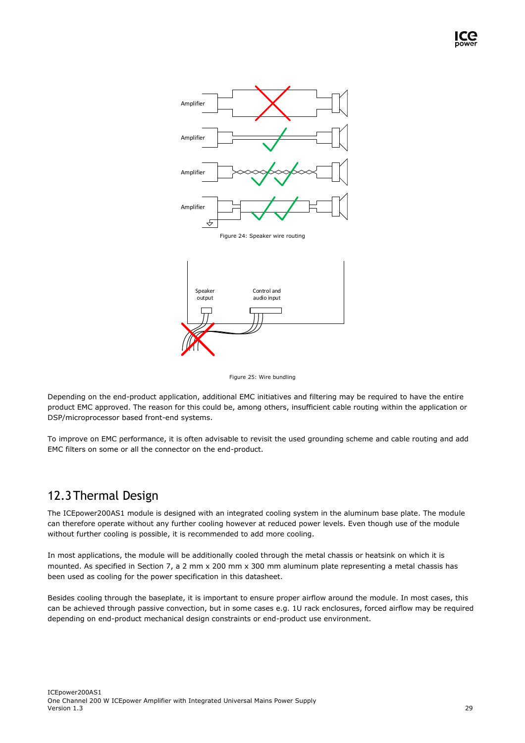<span id="page-29-1"></span>

Figure 25: Wire bundling

<span id="page-29-2"></span>Depending on the end-product application, additional EMC initiatives and filtering may be required to have the entire product EMC approved. The reason for this could be, among others, insufficient cable routing within the application or DSP/microprocessor based front-end systems.

To improve on EMC performance, it is often advisable to revisit the used grounding scheme and cable routing and add EMC filters on some or all the connector on the end-product.

#### <span id="page-29-0"></span>12.3Thermal Design

The ICEpower200AS1 module is designed with an integrated cooling system in the aluminum base plate. The module can therefore operate without any further cooling however at reduced power levels. Even though use of the module without further cooling is possible, it is recommended to add more cooling.

In most applications, the module will be additionally cooled through the metal chassis or heatsink on which it is mounted. As specified in Section [7,](#page-8-1) a 2 mm x 200 mm x 300 mm aluminum plate representing a metal chassis has been used as cooling for the power specification in this datasheet.

Besides cooling through the baseplate, it is important to ensure proper airflow around the module. In most cases, this can be achieved through passive convection, but in some cases e.g. 1U rack enclosures, forced airflow may be required depending on end-product mechanical design constraints or end-product use environment.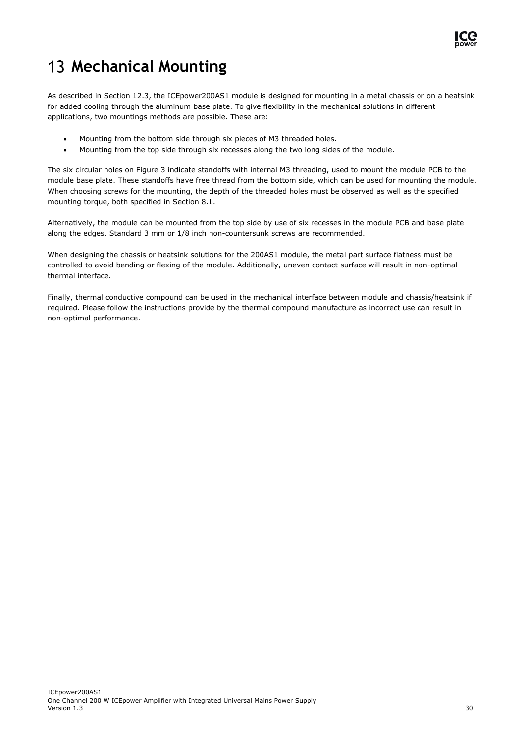

## <span id="page-30-0"></span>**Mechanical Mounting**

As described in Section 12.3, the ICEpower200AS1 module is designed for mounting in a metal chassis or on a heatsink for added cooling through the aluminum base plate. To give flexibility in the mechanical solutions in different applications, two mountings methods are possible. These are:

- Mounting from the bottom side through six pieces of M3 threaded holes.
- Mounting from the top side through six recesses along the two long sides of the module.

The six circular holes on [Figure 3](#page-12-3) indicate standoffs with internal M3 threading, used to mount the module PCB to the module base plate. These standoffs have free thread from the bottom side, which can be used for mounting the module. When choosing screws for the mounting, the depth of the threaded holes must be observed as well as the specified mounting torque, both specified in Section [8.1.](#page-12-1)

Alternatively, the module can be mounted from the top side by use of six recesses in the module PCB and base plate along the edges. Standard 3 mm or 1/8 inch non-countersunk screws are recommended.

When designing the chassis or heatsink solutions for the 200AS1 module, the metal part surface flatness must be controlled to avoid bending or flexing of the module. Additionally, uneven contact surface will result in non-optimal thermal interface.

Finally, thermal conductive compound can be used in the mechanical interface between module and chassis/heatsink if required. Please follow the instructions provide by the thermal compound manufacture as incorrect use can result in non-optimal performance.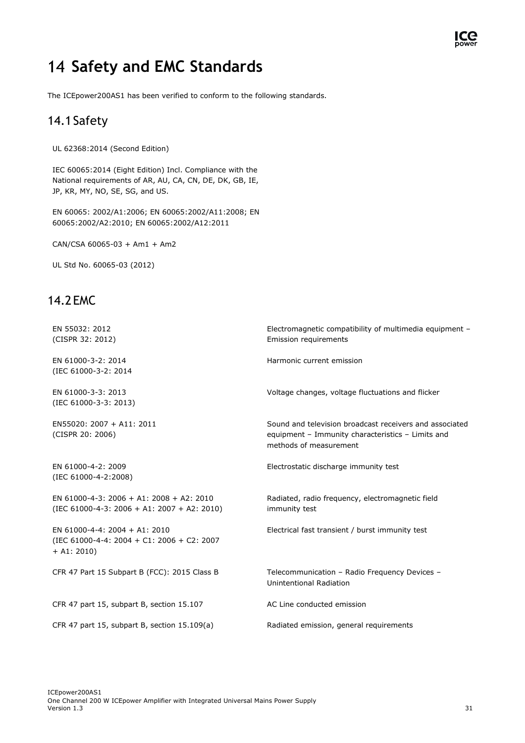### <span id="page-31-0"></span>**Safety and EMC Standards**

<span id="page-31-1"></span>The ICEpower200AS1 has been verified to conform to the following standards.

#### 14.1Safety

UL 62368:2014 (Second Edition)

IEC 60065:2014 (Eight Edition) Incl. Compliance with the National requirements of AR, AU, CA, CN, DE, DK, GB, IE, JP, KR, MY, NO, SE, SG, and US.

EN 60065: 2002/A1:2006; EN 60065:2002/A11:2008; EN 60065:2002/A2:2010; EN 60065:2002/A12:2011

CAN/CSA 60065-03 + Am1 + Am2

UL Std No. 60065-03 (2012)

#### <span id="page-31-2"></span>14.2EMC

| EN 55032: 2012<br>(CISPR 32: 2012)                                                           | Electromagnetic compatibility of multimedia equipment -<br>Emission requirements                                                       |
|----------------------------------------------------------------------------------------------|----------------------------------------------------------------------------------------------------------------------------------------|
| EN 61000-3-2: 2014<br>(IEC 61000-3-2: 2014                                                   | Harmonic current emission                                                                                                              |
| EN 61000-3-3: 2013<br>(IEC 61000-3-3: 2013)                                                  | Voltage changes, voltage fluctuations and flicker                                                                                      |
| EN55020: 2007 + A11: 2011<br>(CISPR 20: 2006)                                                | Sound and television broadcast receivers and associated<br>equipment - Immunity characteristics - Limits and<br>methods of measurement |
| EN 61000-4-2: 2009<br>(IEC 61000-4-2:2008)                                                   | Electrostatic discharge immunity test                                                                                                  |
| EN 61000-4-3: 2006 + A1: 2008 + A2: 2010<br>$(IEC 61000-4-3: 2006 + A1: 2007 + A2: 2010)$    | Radiated, radio frequency, electromagnetic field<br>immunity test                                                                      |
| EN 61000-4-4: 2004 + A1: 2010<br>(IEC 61000-4-4: 2004 + C1: 2006 + C2: 2007<br>$+$ A1: 2010) | Electrical fast transient / burst immunity test                                                                                        |
| CFR 47 Part 15 Subpart B (FCC): 2015 Class B                                                 | Telecommunication - Radio Frequency Devices -<br>Unintentional Radiation                                                               |
| CFR 47 part 15, subpart B, section 15.107                                                    | AC Line conducted emission                                                                                                             |
| CFR 47 part 15, subpart B, section 15.109(a)                                                 | Radiated emission, general requirements                                                                                                |

ICC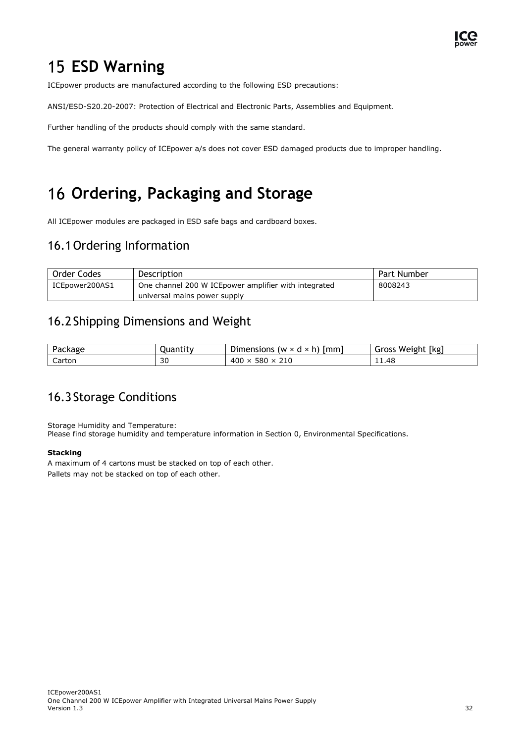

### <span id="page-32-0"></span>**15 ESD Warning**

ICEpower products are manufactured according to the following ESD precautions:

ANSI/ESD-S20.20-2007: Protection of Electrical and Electronic Parts, Assemblies and Equipment.

Further handling of the products should comply with the same standard.

The general warranty policy of ICEpower a/s does not cover ESD damaged products due to improper handling.

## <span id="page-32-1"></span>**Ordering, Packaging and Storage**

<span id="page-32-2"></span>All ICEpower modules are packaged in ESD safe bags and cardboard boxes.

#### 16.1Ordering Information

| Order Codes    | <b>Description</b>                                    | Part Number |
|----------------|-------------------------------------------------------|-------------|
| ICEpower200AS1 | One channel 200 W ICE power amplifier with integrated | 8008243     |
|                | universal mains power supply                          |             |

#### <span id="page-32-3"></span>16.2Shipping Dimensions and Weight

| D-<br>ackage | ,uantitv | $\sim$<br>1mm<br>Dimensions<br>$(w \times d)$<br>$\sim$<br>$\sim$ | [kg<br>Weight<br>Gross |
|--------------|----------|-------------------------------------------------------------------|------------------------|
| Carton       | 30       | 400<br>580<br>210<br>ᄉ                                            | 11.48                  |

#### <span id="page-32-4"></span>16.3Storage Conditions

Storage Humidity and Temperature: Please find storage humidity and temperature information in Section [0,](#page-12-4) Environmental Specifications.

#### **Stacking**

A maximum of 4 cartons must be stacked on top of each other. Pallets may not be stacked on top of each other.